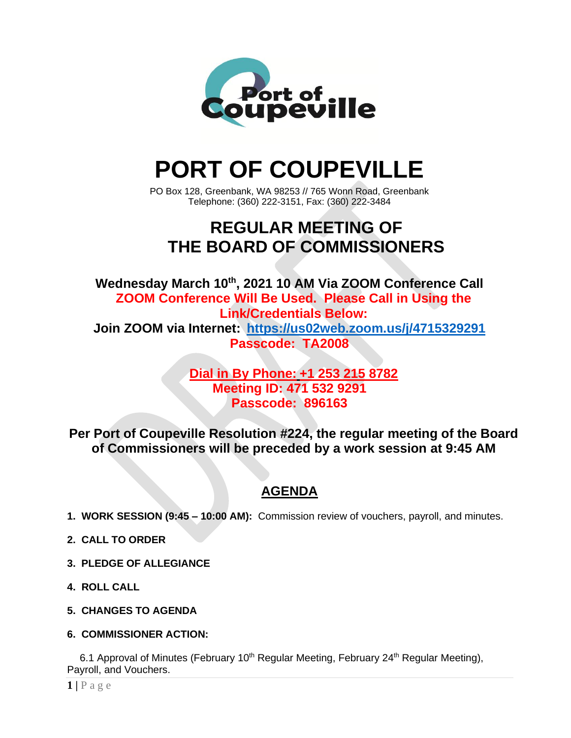

# **PORT OF COUPEVILLE**

PO Box 128, Greenbank, WA 98253 // 765 Wonn Road, Greenbank Telephone: (360) 222-3151, Fax: (360) 222-3484

## **REGULAR MEETING OF THE BOARD OF COMMISSIONERS**

**Wednesday March 10 th, 2021 10 AM Via ZOOM Conference Call ZOOM Conference Will Be Used. Please Call in Using the Link/Credentials Below: Join ZOOM via Internet: <https://us02web.zoom.us/j/4715329291> Passcode: TA2008**

#### **Dial in By Phone: +1 253 215 8782 Meeting ID: 471 532 9291 Passcode: 896163**

**Per Port of Coupeville Resolution #224, the regular meeting of the Board of Commissioners will be preceded by a work session at 9:45 AM**

### **AGENDA**

- **1. WORK SESSION (9:45 – 10:00 AM):** Commission review of vouchers, payroll, and minutes.
- **2. CALL TO ORDER**
- **3. PLEDGE OF ALLEGIANCE**
- **4. ROLL CALL**
- **5. CHANGES TO AGENDA**
- **6. COMMISSIONER ACTION:**

6.1 Approval of Minutes (February 10<sup>th</sup> Regular Meeting, February 24<sup>th</sup> Regular Meeting), Payroll, and Vouchers.